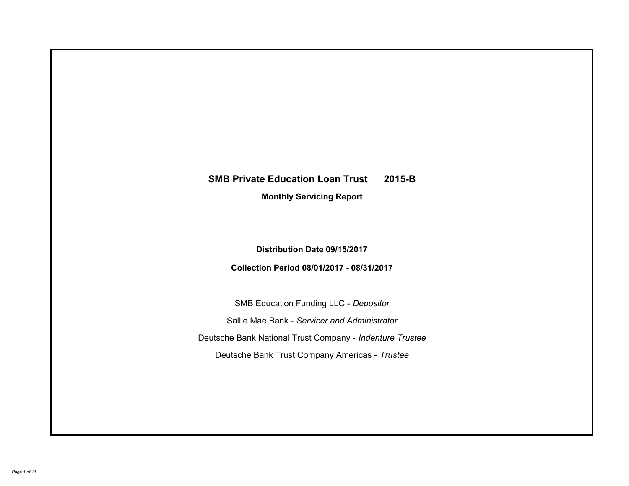# **SMB Private Education Loan Trust 2015-B Monthly Servicing Report**

**Distribution Date 09/15/2017**

**Collection Period 08/01/2017 - 08/31/2017**

SMB Education Funding LLC - *Depositor* Sallie Mae Bank - *Servicer and Administrator* Deutsche Bank National Trust Company - *Indenture Trustee* Deutsche Bank Trust Company Americas - *Trustee*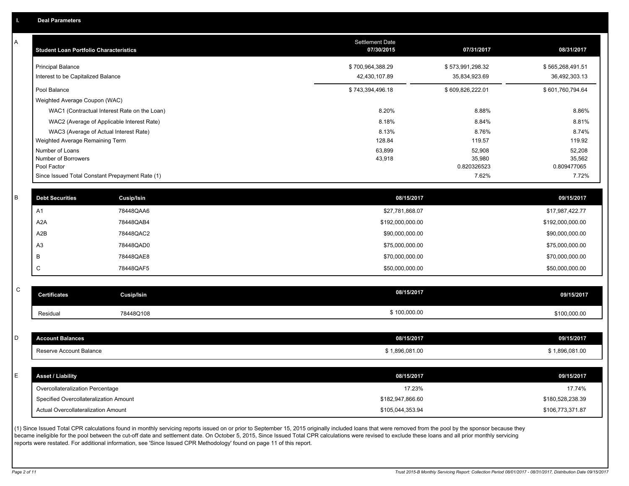| А           | <b>Student Loan Portfolio Characteristics</b> |                                                 | <b>Settlement Date</b><br>07/30/2015 | 07/31/2017            | 08/31/2017            |
|-------------|-----------------------------------------------|-------------------------------------------------|--------------------------------------|-----------------------|-----------------------|
|             | <b>Principal Balance</b>                      |                                                 | \$700,964,388.29                     | \$573,991,298.32      | \$565,268,491.51      |
|             | Interest to be Capitalized Balance            |                                                 | 42,430,107.89                        | 35,834,923.69         | 36,492,303.13         |
|             | Pool Balance                                  |                                                 | \$743,394,496.18                     | \$609,826,222.01      | \$601,760,794.64      |
|             | Weighted Average Coupon (WAC)                 |                                                 |                                      |                       |                       |
|             |                                               | WAC1 (Contractual Interest Rate on the Loan)    | 8.20%                                | 8.88%                 | 8.86%                 |
|             |                                               | WAC2 (Average of Applicable Interest Rate)      | 8.18%                                | 8.84%                 | 8.81%                 |
|             |                                               | WAC3 (Average of Actual Interest Rate)          | 8.13%                                | 8.76%                 | 8.74%                 |
|             | Weighted Average Remaining Term               |                                                 | 128.84                               | 119.57                | 119.92                |
|             | Number of Loans                               |                                                 | 63,899                               | 52,908                | 52,208                |
|             | Number of Borrowers<br>Pool Factor            |                                                 | 43,918                               | 35,980<br>0.820326523 | 35,562<br>0.809477065 |
|             |                                               | Since Issued Total Constant Prepayment Rate (1) |                                      | 7.62%                 | 7.72%                 |
|             |                                               |                                                 |                                      |                       |                       |
| В           | <b>Debt Securities</b>                        | Cusip/Isin                                      | 08/15/2017                           |                       | 09/15/2017            |
|             | A1                                            | 78448QAA6                                       | \$27,781,868.07                      |                       | \$17,987,422.77       |
|             | A2A                                           | 78448QAB4                                       | \$192,000,000.00                     |                       | \$192,000,000.00      |
|             | A2B                                           | 78448QAC2                                       | \$90,000,000.00                      |                       | \$90,000,000.00       |
|             | A <sub>3</sub>                                | 78448QAD0                                       | \$75,000,000.00                      |                       | \$75,000,000.00       |
|             | B                                             | 78448QAE8                                       | \$70,000,000.00                      |                       | \$70,000,000.00       |
|             | $\mathsf C$                                   | 78448QAF5                                       | \$50,000,000.00                      |                       | \$50,000,000.00       |
|             |                                               |                                                 |                                      |                       |                       |
| $\mathsf C$ | <b>Certificates</b>                           | Cusip/Isin                                      | 08/15/2017                           |                       | 09/15/2017            |
|             | Residual                                      | 78448Q108                                       | \$100,000.00                         |                       | \$100,000.00          |
|             |                                               |                                                 |                                      |                       |                       |
| D           | <b>Account Balances</b>                       |                                                 | 08/15/2017                           |                       | 09/15/2017            |
|             | Reserve Account Balance                       |                                                 | \$1,896,081.00                       |                       | \$1,896,081.00        |
|             |                                               |                                                 |                                      |                       |                       |
| E           | <b>Asset / Liability</b>                      |                                                 | 08/15/2017                           |                       | 09/15/2017            |
|             | Overcollateralization Percentage              |                                                 | 17.23%                               |                       | 17.74%                |
|             | Specified Overcollateralization Amount        |                                                 | \$182,947,866.60                     |                       | \$180,528,238.39      |
|             | Actual Overcollateralization Amount           |                                                 | \$105,044,353.94                     |                       | \$106,773,371.87      |
|             |                                               |                                                 |                                      |                       |                       |

(1) Since Issued Total CPR calculations found in monthly servicing reports issued on or prior to September 15, 2015 originally included loans that were removed from the pool by the sponsor because they became ineligible for the pool between the cut-off date and settlement date. On October 5, 2015, Since Issued Total CPR calculations were revised to exclude these loans and all prior monthly servicing reports were restated. For additional information, see 'Since Issued CPR Methodology' found on page 11 of this report.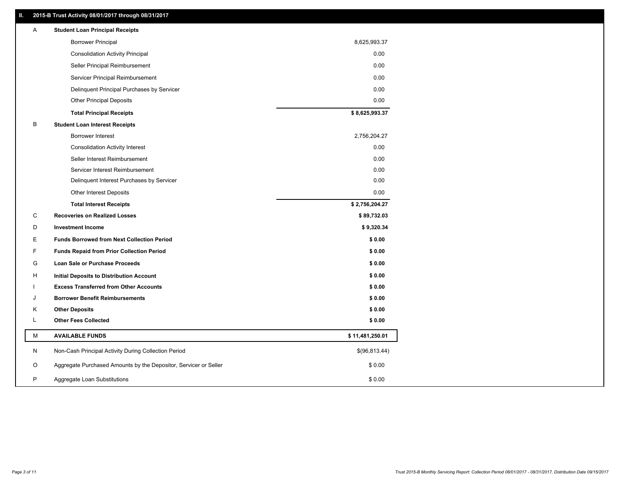## **II. 2015-B Trust Activity 08/01/2017 through 08/31/2017**

| Α<br><b>Student Loan Principal Receipts</b>                           |                 |
|-----------------------------------------------------------------------|-----------------|
| <b>Borrower Principal</b>                                             | 8,625,993.37    |
| <b>Consolidation Activity Principal</b>                               | 0.00            |
| Seller Principal Reimbursement                                        | 0.00            |
| Servicer Principal Reimbursement                                      | 0.00            |
| Delinquent Principal Purchases by Servicer                            | 0.00            |
| <b>Other Principal Deposits</b>                                       | 0.00            |
| <b>Total Principal Receipts</b>                                       | \$8,625,993.37  |
| B<br><b>Student Loan Interest Receipts</b>                            |                 |
| <b>Borrower Interest</b>                                              | 2,756,204.27    |
| <b>Consolidation Activity Interest</b>                                | 0.00            |
| Seller Interest Reimbursement                                         | 0.00            |
| Servicer Interest Reimbursement                                       | 0.00            |
| Delinquent Interest Purchases by Servicer                             | 0.00            |
| <b>Other Interest Deposits</b>                                        | 0.00            |
| <b>Total Interest Receipts</b>                                        | \$2,756,204.27  |
| C<br><b>Recoveries on Realized Losses</b>                             | \$89,732.03     |
| D<br><b>Investment Income</b>                                         | \$9,320.34      |
| Е<br><b>Funds Borrowed from Next Collection Period</b>                | \$0.00          |
| F<br><b>Funds Repaid from Prior Collection Period</b>                 | \$0.00          |
| G<br>Loan Sale or Purchase Proceeds                                   | \$0.00          |
| н<br>Initial Deposits to Distribution Account                         | \$0.00          |
| <b>Excess Transferred from Other Accounts</b>                         | \$0.00          |
| <b>Borrower Benefit Reimbursements</b><br>J                           | \$0.00          |
| <b>Other Deposits</b><br>Κ                                            | \$0.00          |
| Г<br><b>Other Fees Collected</b>                                      | \$0.00          |
| М<br><b>AVAILABLE FUNDS</b>                                           | \$11,481,250.01 |
| N<br>Non-Cash Principal Activity During Collection Period             | \$(96,813.44)   |
| O<br>Aggregate Purchased Amounts by the Depositor, Servicer or Seller | \$0.00          |
| P<br>Aggregate Loan Substitutions                                     | \$0.00          |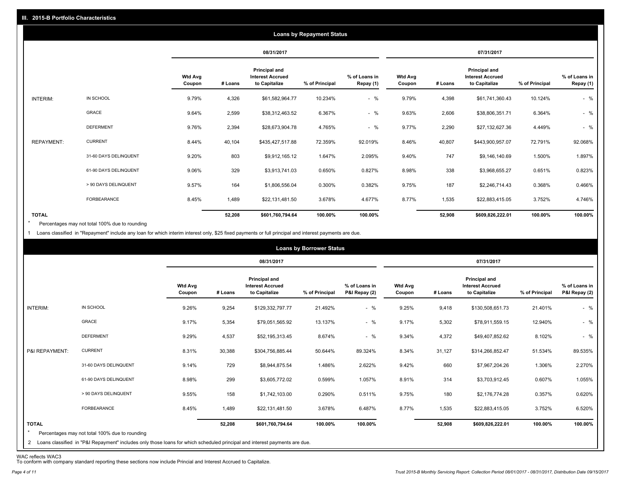|                   |                       |                          |         |                                                                  | <b>Loans by Repayment Status</b> |                            |                          |         |                                                           |                |                            |
|-------------------|-----------------------|--------------------------|---------|------------------------------------------------------------------|----------------------------------|----------------------------|--------------------------|---------|-----------------------------------------------------------|----------------|----------------------------|
|                   |                       |                          |         | 08/31/2017                                                       |                                  |                            |                          |         | 07/31/2017                                                |                |                            |
|                   |                       | <b>Wtd Avg</b><br>Coupon | # Loans | <b>Principal and</b><br><b>Interest Accrued</b><br>to Capitalize | % of Principal                   | % of Loans in<br>Repay (1) | <b>Wtd Avg</b><br>Coupon | # Loans | Principal and<br><b>Interest Accrued</b><br>to Capitalize | % of Principal | % of Loans in<br>Repay (1) |
| INTERIM:          | IN SCHOOL             | 9.79%                    | 4,326   | \$61,582,964.77                                                  | 10.234%                          | $-$ %                      | 9.79%                    | 4,398   | \$61,741,360.43                                           | 10.124%        | $-$ %                      |
|                   | <b>GRACE</b>          | 9.64%                    | 2,599   | \$38,312,463.52                                                  | 6.367%                           | $-$ %                      | 9.63%                    | 2,606   | \$38,806,351.71                                           | 6.364%         | $-$ %                      |
|                   | <b>DEFERMENT</b>      | 9.76%                    | 2,394   | \$28,673,904.78                                                  | 4.765%                           | $-$ %                      | 9.77%                    | 2,290   | \$27,132,627.36                                           | 4.449%         | $-$ %                      |
| <b>REPAYMENT:</b> | <b>CURRENT</b>        | 8.44%                    | 40,104  | \$435,427,517.88                                                 | 72.359%                          | 92.019%                    | 8.46%                    | 40,807  | \$443,900,957.07                                          | 72.791%        | 92.068%                    |
|                   | 31-60 DAYS DELINQUENT | 9.20%                    | 803     | \$9,912,165.12                                                   | 1.647%                           | 2.095%                     | 9.40%                    | 747     | \$9,146,140.69                                            | 1.500%         | 1.897%                     |
|                   | 61-90 DAYS DELINQUENT | 9.06%                    | 329     | \$3,913,741.03                                                   | 0.650%                           | 0.827%                     | 8.98%                    | 338     | \$3,968,655.27                                            | 0.651%         | 0.823%                     |
|                   | > 90 DAYS DELINQUENT  | 9.57%                    | 164     | \$1,806,556.04                                                   | 0.300%                           | 0.382%                     | 9.75%                    | 187     | \$2,246,714.43                                            | 0.368%         | 0.466%                     |
|                   | FORBEARANCE           | 8.45%                    | 1,489   | \$22,131,481.50                                                  | 3.678%                           | 4.677%                     | 8.77%                    | 1,535   | \$22,883,415.05                                           | 3.752%         | 4.746%                     |
| <b>TOTAL</b>      |                       |                          | 52,208  | \$601,760,794.64                                                 | 100.00%                          | 100.00%                    |                          | 52,908  | \$609,826,222.01                                          | 100.00%        | 100.00%                    |

Percentages may not total 100% due to rounding  $\star$ 

1 Loans classified in "Repayment" include any loan for which interim interest only, \$25 fixed payments or full principal and interest payments are due.

|                         |                                                                                                                              |                          |         |                                                                  | <b>Loans by Borrower Status</b> |                                |                          |         |                                                                  |                |                                |
|-------------------------|------------------------------------------------------------------------------------------------------------------------------|--------------------------|---------|------------------------------------------------------------------|---------------------------------|--------------------------------|--------------------------|---------|------------------------------------------------------------------|----------------|--------------------------------|
|                         |                                                                                                                              |                          |         | 08/31/2017                                                       |                                 |                                |                          |         | 07/31/2017                                                       |                |                                |
|                         |                                                                                                                              | <b>Wtd Avg</b><br>Coupon | # Loans | <b>Principal and</b><br><b>Interest Accrued</b><br>to Capitalize | % of Principal                  | % of Loans in<br>P&I Repay (2) | <b>Wtd Avg</b><br>Coupon | # Loans | <b>Principal and</b><br><b>Interest Accrued</b><br>to Capitalize | % of Principal | % of Loans in<br>P&I Repay (2) |
| INTERIM:                | IN SCHOOL                                                                                                                    | 9.26%                    | 9,254   | \$129,332,797.77                                                 | 21.492%                         | $-$ %                          | 9.25%                    | 9,418   | \$130,508,651.73                                                 | 21.401%        | $-$ %                          |
|                         | GRACE                                                                                                                        | 9.17%                    | 5,354   | \$79,051,565.92                                                  | 13.137%                         | $-$ %                          | 9.17%                    | 5,302   | \$78,911,559.15                                                  | 12.940%        | $-$ %                          |
|                         | <b>DEFERMENT</b>                                                                                                             | 9.29%                    | 4,537   | \$52,195,313.45                                                  | 8.674%                          | $-$ %                          | 9.34%                    | 4,372   | \$49,407,852.62                                                  | 8.102%         | $-$ %                          |
| P&I REPAYMENT:          | <b>CURRENT</b>                                                                                                               | 8.31%                    | 30,388  | \$304,756,885.44                                                 | 50.644%                         | 89.324%                        | 8.34%                    | 31,127  | \$314,266,852.47                                                 | 51.534%        | 89.535%                        |
|                         | 31-60 DAYS DELINQUENT                                                                                                        | 9.14%                    | 729     | \$8,944,875.54                                                   | 1.486%                          | 2.622%                         | 9.42%                    | 660     | \$7,967,204.26                                                   | 1.306%         | 2.270%                         |
|                         | 61-90 DAYS DELINQUENT                                                                                                        | 8.98%                    | 299     | \$3,605,772.02                                                   | 0.599%                          | 1.057%                         | 8.91%                    | 314     | \$3,703,912.45                                                   | 0.607%         | 1.055%                         |
|                         | > 90 DAYS DELINQUENT                                                                                                         | 9.55%                    | 158     | \$1,742,103.00                                                   | 0.290%                          | 0.511%                         | 9.75%                    | 180     | \$2,176,774.28                                                   | 0.357%         | 0.620%                         |
|                         | <b>FORBEARANCE</b>                                                                                                           | 8.45%                    | 1,489   | \$22,131,481.50                                                  | 3.678%                          | 6.487%                         | 8.77%                    | 1,535   | \$22,883,415.05                                                  | 3.752%         | 6.520%                         |
| <b>TOTAL</b><br>$\star$ | Percentages may not total 100% due to rounding                                                                               |                          | 52,208  | \$601,760,794.64                                                 | 100.00%                         | 100.00%                        |                          | 52,908  | \$609,826,222.01                                                 | 100.00%        | 100.00%                        |
|                         | 2 Loans classified in "P&I Repayment" includes only those loans for which scheduled principal and interest payments are due. |                          |         |                                                                  |                                 |                                |                          |         |                                                                  |                |                                |

WAC reflects WAC3 To conform with company standard reporting these sections now include Princial and Interest Accrued to Capitalize.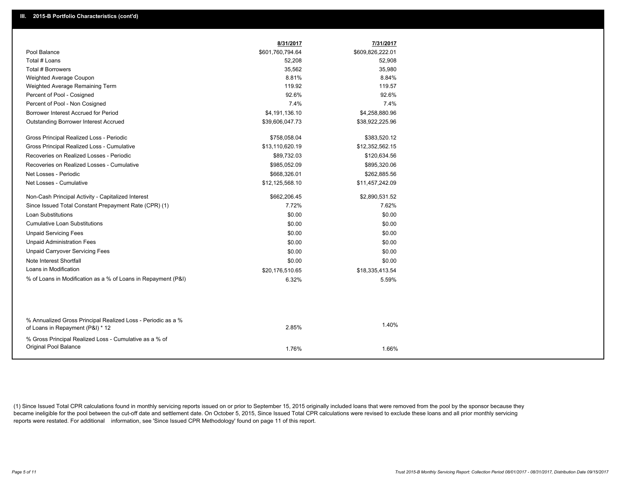|                                                                                                  | 8/31/2017        | 7/31/2017        |
|--------------------------------------------------------------------------------------------------|------------------|------------------|
| Pool Balance                                                                                     | \$601,760,794.64 | \$609,826,222.01 |
| Total # Loans                                                                                    | 52,208           | 52,908           |
| Total # Borrowers                                                                                | 35,562           | 35,980           |
| Weighted Average Coupon                                                                          | 8.81%            | 8.84%            |
| Weighted Average Remaining Term                                                                  | 119.92           | 119.57           |
| Percent of Pool - Cosigned                                                                       | 92.6%            | 92.6%            |
| Percent of Pool - Non Cosigned                                                                   | 7.4%             | 7.4%             |
| Borrower Interest Accrued for Period                                                             | \$4,191,136.10   | \$4,258,880.96   |
| <b>Outstanding Borrower Interest Accrued</b>                                                     | \$39,606,047.73  | \$38,922,225.96  |
| Gross Principal Realized Loss - Periodic                                                         | \$758,058.04     | \$383,520.12     |
| Gross Principal Realized Loss - Cumulative                                                       | \$13,110,620.19  | \$12,352,562.15  |
| Recoveries on Realized Losses - Periodic                                                         | \$89,732.03      | \$120,634.56     |
| Recoveries on Realized Losses - Cumulative                                                       | \$985,052.09     | \$895,320.06     |
| Net Losses - Periodic                                                                            | \$668,326.01     | \$262,885.56     |
| Net Losses - Cumulative                                                                          | \$12,125,568.10  | \$11,457,242.09  |
| Non-Cash Principal Activity - Capitalized Interest                                               | \$662,206.45     | \$2,890,531.52   |
| Since Issued Total Constant Prepayment Rate (CPR) (1)                                            | 7.72%            | 7.62%            |
| <b>Loan Substitutions</b>                                                                        | \$0.00           | \$0.00           |
| <b>Cumulative Loan Substitutions</b>                                                             | \$0.00           | \$0.00           |
| <b>Unpaid Servicing Fees</b>                                                                     | \$0.00           | \$0.00           |
| <b>Unpaid Administration Fees</b>                                                                | \$0.00           | \$0.00           |
| <b>Unpaid Carryover Servicing Fees</b>                                                           | \$0.00           | \$0.00           |
| Note Interest Shortfall                                                                          | \$0.00           | \$0.00           |
| Loans in Modification                                                                            | \$20,176,510.65  | \$18,335,413.54  |
| % of Loans in Modification as a % of Loans in Repayment (P&I)                                    | 6.32%            | 5.59%            |
|                                                                                                  |                  |                  |
| % Annualized Gross Principal Realized Loss - Periodic as a %<br>of Loans in Repayment (P&I) * 12 | 2.85%            | 1.40%            |
| % Gross Principal Realized Loss - Cumulative as a % of                                           |                  |                  |
| Original Pool Balance                                                                            | 1.76%            | 1.66%            |

(1) Since Issued Total CPR calculations found in monthly servicing reports issued on or prior to September 15, 2015 originally included loans that were removed from the pool by the sponsor because they became ineligible for the pool between the cut-off date and settlement date. On October 5, 2015, Since Issued Total CPR calculations were revised to exclude these loans and all prior monthly servicing reports were restated. For additional information, see 'Since Issued CPR Methodology' found on page 11 of this report.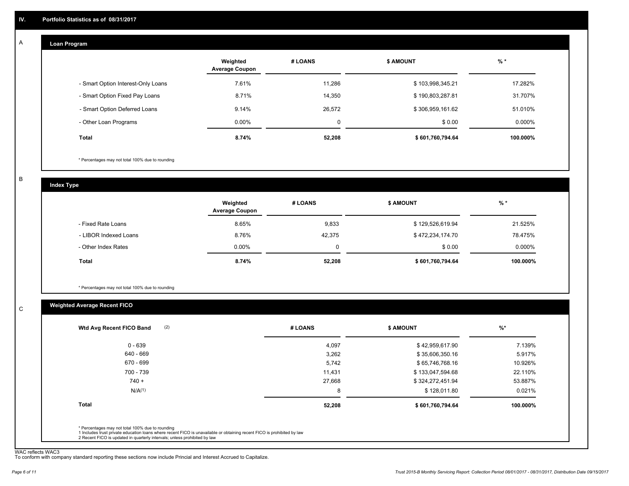#### **Loan Program**  A

|                                    | Weighted<br><b>Average Coupon</b> | # LOANS | <b>\$ AMOUNT</b> | $%$ *    |
|------------------------------------|-----------------------------------|---------|------------------|----------|
| - Smart Option Interest-Only Loans | 7.61%                             | 11,286  | \$103,998,345.21 | 17.282%  |
| - Smart Option Fixed Pay Loans     | 8.71%                             | 14,350  | \$190,803,287.81 | 31.707%  |
| - Smart Option Deferred Loans      | 9.14%                             | 26.572  | \$306,959,161.62 | 51.010%  |
| - Other Loan Programs              | $0.00\%$                          | 0       | \$0.00           | 0.000%   |
| <b>Total</b>                       | 8.74%                             | 52,208  | \$601,760,794.64 | 100.000% |

\* Percentages may not total 100% due to rounding

B

C

**Index Type**

|                       | Weighted<br><b>Average Coupon</b> | # LOANS | <b>\$ AMOUNT</b> | $%$ *     |
|-----------------------|-----------------------------------|---------|------------------|-----------|
| - Fixed Rate Loans    | 8.65%                             | 9,833   | \$129,526,619.94 | 21.525%   |
| - LIBOR Indexed Loans | 8.76%                             | 42,375  | \$472,234,174.70 | 78.475%   |
| - Other Index Rates   | $0.00\%$                          |         | \$0.00           | $0.000\%$ |
| <b>Total</b>          | 8.74%                             | 52,208  | \$601,760,794.64 | 100.000%  |

\* Percentages may not total 100% due to rounding

## **Weighted Average Recent FICO**

| (2)<br>Wtd Avg Recent FICO Band                  | # LOANS | <b>\$ AMOUNT</b> | $%$ *    |
|--------------------------------------------------|---------|------------------|----------|
| $0 - 639$                                        | 4,097   | \$42,959,617.90  | 7.139%   |
| 640 - 669                                        | 3,262   | \$35,606,350.16  | 5.917%   |
| 670 - 699                                        | 5,742   | \$65,746,768.16  | 10.926%  |
| 700 - 739                                        | 11,431  | \$133,047,594.68 | 22.110%  |
| $740 +$                                          | 27,668  | \$324,272,451.94 | 53.887%  |
| N/A <sup>(1)</sup>                               | 8       | \$128,011.80     | 0.021%   |
| <b>Total</b>                                     | 52,208  | \$601,760,794.64 | 100.000% |
| * Percentages may not total 100% due to rounding |         |                  |          |

WAC reflects WAC3 To conform with company standard reporting these sections now include Princial and Interest Accrued to Capitalize.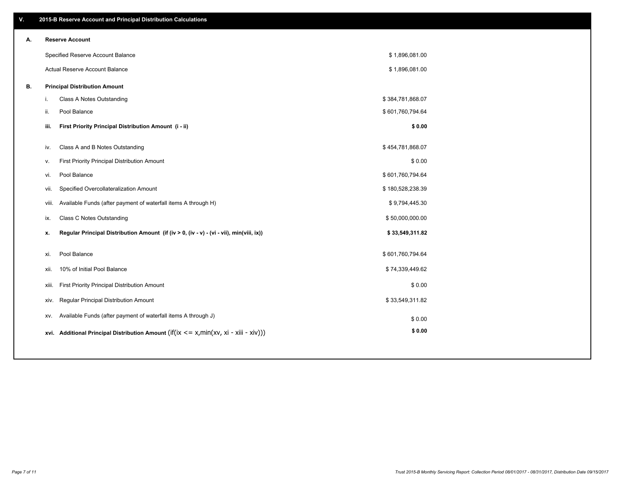| ۷. |       | 2015-B Reserve Account and Principal Distribution Calculations                             |                  |  |
|----|-------|--------------------------------------------------------------------------------------------|------------------|--|
| А. |       | <b>Reserve Account</b>                                                                     |                  |  |
|    |       | Specified Reserve Account Balance                                                          | \$1,896,081.00   |  |
|    |       | Actual Reserve Account Balance                                                             | \$1,896,081.00   |  |
| В. |       | <b>Principal Distribution Amount</b>                                                       |                  |  |
|    | i.    | Class A Notes Outstanding                                                                  | \$384,781,868.07 |  |
|    | ii.   | Pool Balance                                                                               | \$601,760,794.64 |  |
|    | iii.  | First Priority Principal Distribution Amount (i - ii)                                      | \$0.00           |  |
|    |       |                                                                                            |                  |  |
|    | iv.   | Class A and B Notes Outstanding                                                            | \$454,781,868.07 |  |
|    | v.    | First Priority Principal Distribution Amount                                               | \$0.00           |  |
|    | vi.   | Pool Balance                                                                               | \$601,760,794.64 |  |
|    | vii.  | Specified Overcollateralization Amount                                                     | \$180,528,238.39 |  |
|    | viii. | Available Funds (after payment of waterfall items A through H)                             | \$9,794,445.30   |  |
|    | ix.   | <b>Class C Notes Outstanding</b>                                                           | \$50,000,000.00  |  |
|    | x.    | Regular Principal Distribution Amount (if (iv > 0, (iv - v) - (vi - vii), min(viii, ix))   | \$33,549,311.82  |  |
|    | xi.   | Pool Balance                                                                               | \$601,760,794.64 |  |
|    | xii.  | 10% of Initial Pool Balance                                                                | \$74,339,449.62  |  |
|    |       |                                                                                            |                  |  |
|    | xiii. | First Priority Principal Distribution Amount                                               | \$0.00           |  |
|    | xiv.  | Regular Principal Distribution Amount                                                      | \$33,549,311.82  |  |
|    | XV.   | Available Funds (after payment of waterfall items A through J)                             | \$0.00           |  |
|    |       | xvi. Additional Principal Distribution Amount (if(ix $\lt$ = x, min(xv, xi - xiii - xiv))) | \$0.00           |  |
|    |       |                                                                                            |                  |  |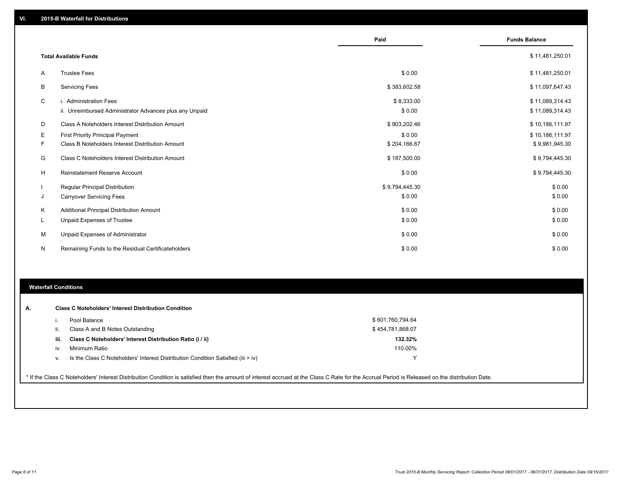|    |                                                         | Paid           | <b>Funds Balance</b> |
|----|---------------------------------------------------------|----------------|----------------------|
|    | <b>Total Available Funds</b>                            |                | \$11,481,250.01      |
| A  | <b>Trustee Fees</b>                                     | \$0.00         | \$11,481,250.01      |
| В  | <b>Servicing Fees</b>                                   | \$383,602.58   | \$11,097,647.43      |
| C  | i. Administration Fees                                  | \$8,333.00     | \$11,089,314.43      |
|    | ii. Unreimbursed Administrator Advances plus any Unpaid | \$0.00         | \$11,089,314.43      |
| D  | Class A Noteholders Interest Distribution Amount        | \$903,202.46   | \$10,186,111.97      |
| Е  | <b>First Priority Principal Payment</b>                 | \$0.00         | \$10,186,111.97      |
| F  | Class B Noteholders Interest Distribution Amount        | \$204,166.67   | \$9,981,945.30       |
| G  | Class C Noteholders Interest Distribution Amount        | \$187,500.00   | \$9,794,445.30       |
| H  | <b>Reinstatement Reserve Account</b>                    | \$0.00         | \$9,794,445.30       |
|    | Regular Principal Distribution                          | \$9,794,445.30 | \$0.00               |
| J  | <b>Carryover Servicing Fees</b>                         | \$0.00         | \$0.00               |
| Κ  | Additional Principal Distribution Amount                | \$0.00         | \$0.00               |
| L. | <b>Unpaid Expenses of Trustee</b>                       | \$0.00         | \$0.00               |
| M  | <b>Unpaid Expenses of Administrator</b>                 | \$0.00         | \$0.00               |
| N  | Remaining Funds to the Residual Certificateholders      | \$0.00         | \$0.00               |

#### **Waterfall Conditions**

|      | Pool Balance                                                                       | \$601,760,794.64 |  |
|------|------------------------------------------------------------------------------------|------------------|--|
|      | Class A and B Notes Outstanding                                                    | \$454,781,868.07 |  |
| iii. | Class C Noteholders' Interest Distribution Ratio (i / ii)                          | 132.32%          |  |
| iv.  | Minimum Ratio                                                                      | 110.00%          |  |
| V.   | Is the Class C Noteholders' Interest Distribution Condition Satisfied (iii $>$ iv) | v                |  |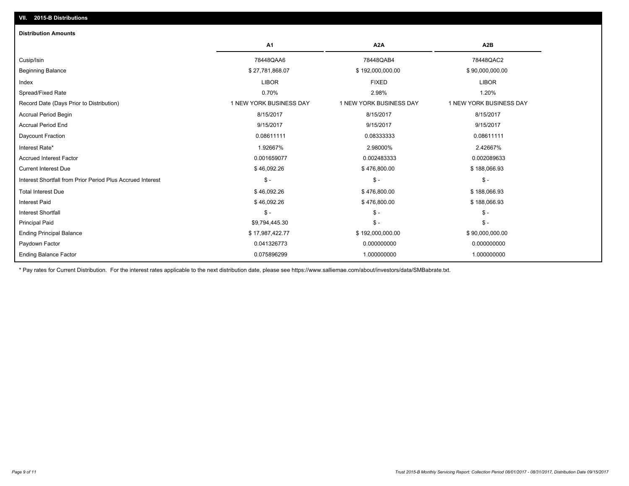| <b>Distribution Amounts</b>                                |                         |                         |                         |
|------------------------------------------------------------|-------------------------|-------------------------|-------------------------|
|                                                            | <b>A1</b>               | A <sub>2</sub> A        | A <sub>2</sub> B        |
| Cusip/Isin                                                 | 78448QAA6               | 78448QAB4               | 78448QAC2               |
| <b>Beginning Balance</b>                                   | \$27,781,868.07         | \$192,000,000.00        | \$90,000,000.00         |
| Index                                                      | <b>LIBOR</b>            | <b>FIXED</b>            | <b>LIBOR</b>            |
| Spread/Fixed Rate                                          | 0.70%                   | 2.98%                   | 1.20%                   |
| Record Date (Days Prior to Distribution)                   | 1 NEW YORK BUSINESS DAY | 1 NEW YORK BUSINESS DAY | 1 NEW YORK BUSINESS DAY |
| <b>Accrual Period Begin</b>                                | 8/15/2017               | 8/15/2017               | 8/15/2017               |
| <b>Accrual Period End</b>                                  | 9/15/2017               | 9/15/2017               | 9/15/2017               |
| Daycount Fraction                                          | 0.08611111              | 0.08333333              | 0.08611111              |
| Interest Rate*                                             | 1.92667%                | 2.98000%                | 2.42667%                |
| <b>Accrued Interest Factor</b>                             | 0.001659077             | 0.002483333             | 0.002089633             |
| <b>Current Interest Due</b>                                | \$46,092.26             | \$476,800.00            | \$188,066.93            |
| Interest Shortfall from Prior Period Plus Accrued Interest | $\mathsf{\$}$ -         | $\frac{1}{2}$           | $\mathsf{\$}$ -         |
| <b>Total Interest Due</b>                                  | \$46,092.26             | \$476,800.00            | \$188,066.93            |
| <b>Interest Paid</b>                                       | \$46,092.26             | \$476,800.00            | \$188,066.93            |
| <b>Interest Shortfall</b>                                  | $$ -$                   | $\mathsf{\$}$ -         | $\mathsf{\$}$ -         |
| <b>Principal Paid</b>                                      | \$9,794,445.30          | $\frac{2}{3}$ -         | $$ -$                   |
| <b>Ending Principal Balance</b>                            | \$17,987,422.77         | \$192,000,000.00        | \$90,000,000.00         |
| Paydown Factor                                             | 0.041326773             | 0.000000000             | 0.000000000             |
| <b>Ending Balance Factor</b>                               | 0.075896299             | 1.000000000             | 1.000000000             |
|                                                            |                         |                         |                         |

\* Pay rates for Current Distribution. For the interest rates applicable to the next distribution date, please see https://www.salliemae.com/about/investors/data/SMBabrate.txt.

**VII. 2015-B Distributions**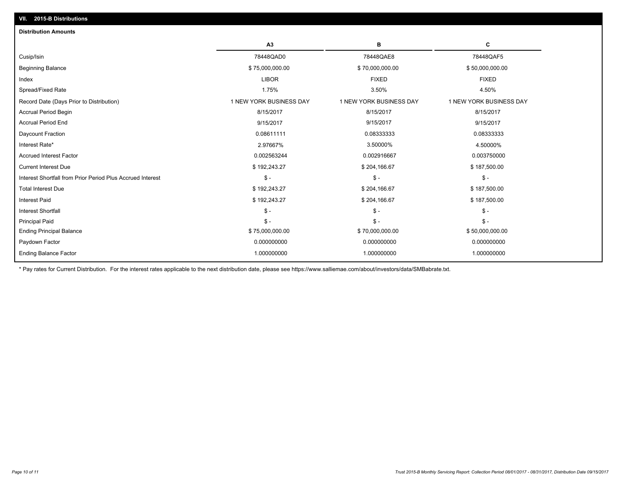| <b>Distribution Amounts</b>                                |                         |                         |                         |
|------------------------------------------------------------|-------------------------|-------------------------|-------------------------|
|                                                            | A3                      | в                       | c                       |
| Cusip/Isin                                                 | 78448QAD0               | 78448QAE8               | 78448QAF5               |
| <b>Beginning Balance</b>                                   | \$75,000,000.00         | \$70,000,000.00         | \$50,000,000.00         |
| Index                                                      | <b>LIBOR</b>            | <b>FIXED</b>            | <b>FIXED</b>            |
| Spread/Fixed Rate                                          | 1.75%                   | 3.50%                   | 4.50%                   |
| Record Date (Days Prior to Distribution)                   | 1 NEW YORK BUSINESS DAY | 1 NEW YORK BUSINESS DAY | 1 NEW YORK BUSINESS DAY |
| <b>Accrual Period Begin</b>                                | 8/15/2017               | 8/15/2017               | 8/15/2017               |
| <b>Accrual Period End</b>                                  | 9/15/2017               | 9/15/2017               | 9/15/2017               |
| Daycount Fraction                                          | 0.08611111              | 0.08333333              | 0.08333333              |
| Interest Rate*                                             | 2.97667%                | 3.50000%                | 4.50000%                |
| <b>Accrued Interest Factor</b>                             | 0.002563244             | 0.002916667             | 0.003750000             |
| <b>Current Interest Due</b>                                | \$192,243.27            | \$204,166.67            | \$187,500.00            |
| Interest Shortfall from Prior Period Plus Accrued Interest | $$ -$                   | $\mathsf{\$}$ -         | \$-                     |
| <b>Total Interest Due</b>                                  | \$192,243.27            | \$204,166.67            | \$187,500.00            |
| <b>Interest Paid</b>                                       | \$192,243.27            | \$204,166.67            | \$187,500.00            |
| <b>Interest Shortfall</b>                                  | $$ -$                   | $\mathsf{\$}$ -         | $\mathsf{\$}$ -         |
| <b>Principal Paid</b>                                      | $$ -$                   | $$ -$                   | $$ -$                   |
| <b>Ending Principal Balance</b>                            | \$75,000,000.00         | \$70,000,000.00         | \$50,000,000.00         |
| Paydown Factor                                             | 0.000000000             | 0.000000000             | 0.000000000             |
| <b>Ending Balance Factor</b>                               | 1.000000000             | 1.000000000             | 1.000000000             |
|                                                            |                         |                         |                         |

\* Pay rates for Current Distribution. For the interest rates applicable to the next distribution date, please see https://www.salliemae.com/about/investors/data/SMBabrate.txt.

**VII. 2015-B Distributions**